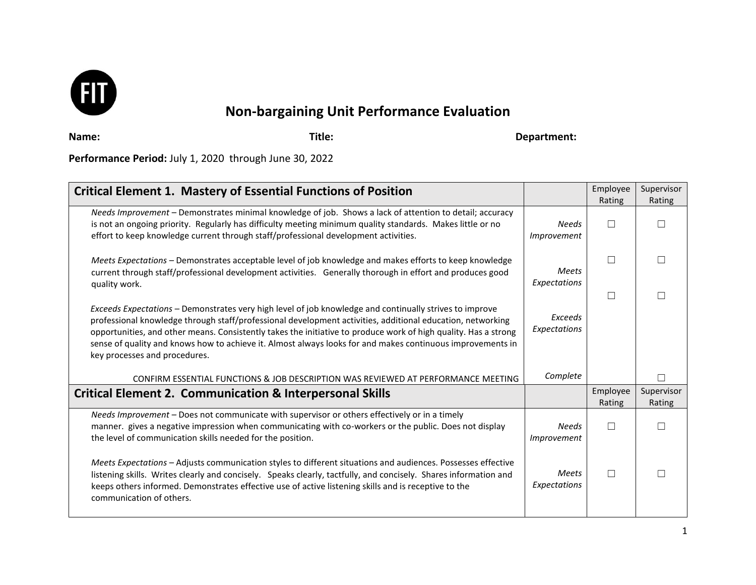

# **Non-bargaining Unit Performance Evaluation**

**Name: Title: Department:** 

**Performance Period:** July 1, 2020 through June 30, 2022

| <b>Critical Element 1. Mastery of Essential Functions of Position</b>                                                                                                                                                                                                                                                                                                                                                                                                                   |                              | Employee<br>Rating | Supervisor<br>Rating |
|-----------------------------------------------------------------------------------------------------------------------------------------------------------------------------------------------------------------------------------------------------------------------------------------------------------------------------------------------------------------------------------------------------------------------------------------------------------------------------------------|------------------------------|--------------------|----------------------|
| Needs Improvement - Demonstrates minimal knowledge of job. Shows a lack of attention to detail; accuracy<br>is not an ongoing priority. Regularly has difficulty meeting minimum quality standards. Makes little or no<br>effort to keep knowledge current through staff/professional development activities.                                                                                                                                                                           | <b>Needs</b><br>Improvement  | П                  |                      |
| Meets Expectations - Demonstrates acceptable level of job knowledge and makes efforts to keep knowledge<br>current through staff/professional development activities. Generally thorough in effort and produces good<br>quality work.                                                                                                                                                                                                                                                   | <b>Meets</b><br>Expectations | П                  |                      |
| Exceeds Expectations - Demonstrates very high level of job knowledge and continually strives to improve<br>professional knowledge through staff/professional development activities, additional education, networking<br>opportunities, and other means. Consistently takes the initiative to produce work of high quality. Has a strong<br>sense of quality and knows how to achieve it. Almost always looks for and makes continuous improvements in<br>key processes and procedures. | Exceeds<br>Expectations      | П                  | $\Box$               |
| CONFIRM ESSENTIAL FUNCTIONS & JOB DESCRIPTION WAS REVIEWED AT PERFORMANCE MEETING                                                                                                                                                                                                                                                                                                                                                                                                       | Complete                     |                    | П                    |
| <b>Critical Element 2. Communication &amp; Interpersonal Skills</b>                                                                                                                                                                                                                                                                                                                                                                                                                     |                              | Employee<br>Rating | Supervisor<br>Rating |
| Needs Improvement - Does not communicate with supervisor or others effectively or in a timely<br>manner. gives a negative impression when communicating with co-workers or the public. Does not display<br>the level of communication skills needed for the position.                                                                                                                                                                                                                   | <b>Needs</b><br>Improvement  | П                  | П                    |
| Meets Expectations - Adjusts communication styles to different situations and audiences. Possesses effective<br>listening skills. Writes clearly and concisely. Speaks clearly, tactfully, and concisely. Shares information and<br>keeps others informed. Demonstrates effective use of active listening skills and is receptive to the<br>communication of others.                                                                                                                    | <b>Meets</b><br>Expectations | П                  |                      |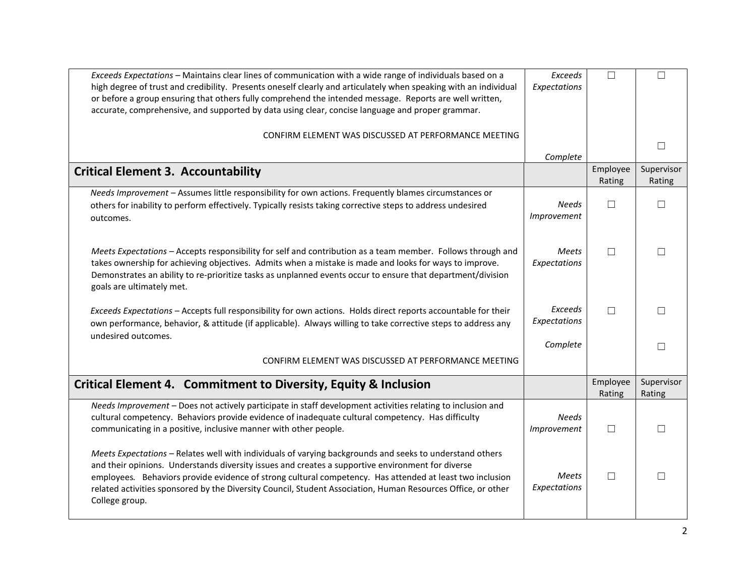| Exceeds Expectations - Maintains clear lines of communication with a wide range of individuals based on a<br>high degree of trust and credibility. Presents oneself clearly and articulately when speaking with an individual<br>or before a group ensuring that others fully comprehend the intended message. Reports are well written,                                                                                                                    | <b>Exceeds</b><br>Expectations | $\Box$             | $\Box$               |
|-------------------------------------------------------------------------------------------------------------------------------------------------------------------------------------------------------------------------------------------------------------------------------------------------------------------------------------------------------------------------------------------------------------------------------------------------------------|--------------------------------|--------------------|----------------------|
| accurate, comprehensive, and supported by data using clear, concise language and proper grammar.                                                                                                                                                                                                                                                                                                                                                            |                                |                    |                      |
| CONFIRM ELEMENT WAS DISCUSSED AT PERFORMANCE MEETING                                                                                                                                                                                                                                                                                                                                                                                                        |                                |                    |                      |
|                                                                                                                                                                                                                                                                                                                                                                                                                                                             | Complete                       |                    | $\Box$               |
| <b>Critical Element 3. Accountability</b>                                                                                                                                                                                                                                                                                                                                                                                                                   |                                | Employee<br>Rating | Supervisor<br>Rating |
| Needs Improvement - Assumes little responsibility for own actions. Frequently blames circumstances or                                                                                                                                                                                                                                                                                                                                                       |                                |                    |                      |
| others for inability to perform effectively. Typically resists taking corrective steps to address undesired<br>outcomes.                                                                                                                                                                                                                                                                                                                                    | <b>Needs</b><br>Improvement    | $\Box$             | $\Box$               |
| Meets Expectations - Accepts responsibility for self and contribution as a team member. Follows through and<br>takes ownership for achieving objectives. Admits when a mistake is made and looks for ways to improve.<br>Demonstrates an ability to re-prioritize tasks as unplanned events occur to ensure that department/division<br>goals are ultimately met.                                                                                           | <b>Meets</b><br>Expectations   | $\Box$             | $\Box$               |
| Exceeds Expectations - Accepts full responsibility for own actions. Holds direct reports accountable for their<br>own performance, behavior, & attitude (if applicable). Always willing to take corrective steps to address any<br>undesired outcomes.                                                                                                                                                                                                      | Exceeds<br>Expectations        | $\Box$             | $\Box$               |
|                                                                                                                                                                                                                                                                                                                                                                                                                                                             | Complete                       |                    | $\Box$               |
| CONFIRM ELEMENT WAS DISCUSSED AT PERFORMANCE MEETING                                                                                                                                                                                                                                                                                                                                                                                                        |                                |                    |                      |
| Critical Element 4. Commitment to Diversity, Equity & Inclusion                                                                                                                                                                                                                                                                                                                                                                                             |                                | Employee<br>Rating | Supervisor<br>Rating |
| Needs Improvement - Does not actively participate in staff development activities relating to inclusion and<br>cultural competency. Behaviors provide evidence of inadequate cultural competency. Has difficulty<br>communicating in a positive, inclusive manner with other people.                                                                                                                                                                        | <b>Needs</b><br>Improvement    | $\Box$             | $\Box$               |
| Meets Expectations - Relates well with individuals of varying backgrounds and seeks to understand others<br>and their opinions. Understands diversity issues and creates a supportive environment for diverse<br>employees. Behaviors provide evidence of strong cultural competency. Has attended at least two inclusion<br>related activities sponsored by the Diversity Council, Student Association, Human Resources Office, or other<br>College group. | Meets<br>Expectations          | $\Box$             | $\Box$               |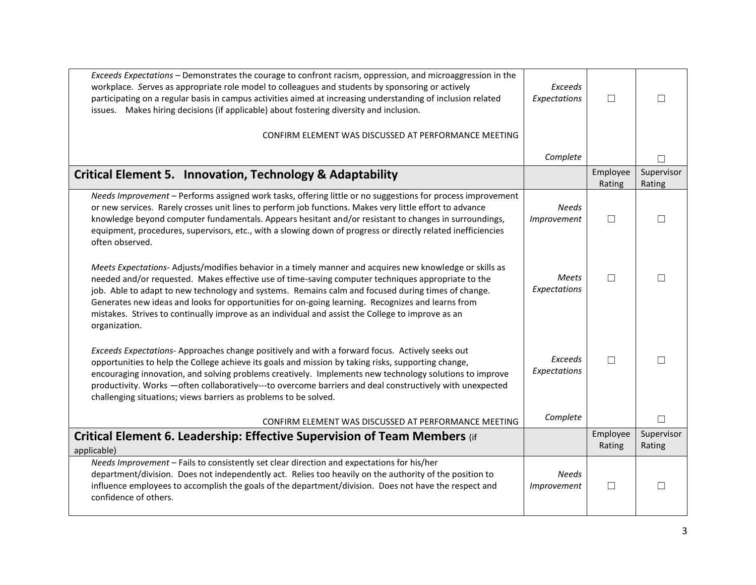| Exceeds Expectations - Demonstrates the courage to confront racism, oppression, and microaggression in the<br>workplace. Serves as appropriate role model to colleagues and students by sponsoring or actively<br>participating on a regular basis in campus activities aimed at increasing understanding of inclusion related                                                                                                                                                                                                                 | Exceeds<br>Expectations      | П                  | П                    |
|------------------------------------------------------------------------------------------------------------------------------------------------------------------------------------------------------------------------------------------------------------------------------------------------------------------------------------------------------------------------------------------------------------------------------------------------------------------------------------------------------------------------------------------------|------------------------------|--------------------|----------------------|
| issues. Makes hiring decisions (if applicable) about fostering diversity and inclusion.                                                                                                                                                                                                                                                                                                                                                                                                                                                        |                              |                    |                      |
| CONFIRM ELEMENT WAS DISCUSSED AT PERFORMANCE MEETING                                                                                                                                                                                                                                                                                                                                                                                                                                                                                           |                              |                    |                      |
|                                                                                                                                                                                                                                                                                                                                                                                                                                                                                                                                                | Complete                     |                    | П                    |
| <b>Critical Element 5. Innovation, Technology &amp; Adaptability</b>                                                                                                                                                                                                                                                                                                                                                                                                                                                                           |                              | Employee<br>Rating | Supervisor<br>Rating |
| Needs Improvement - Performs assigned work tasks, offering little or no suggestions for process improvement<br>or new services. Rarely crosses unit lines to perform job functions. Makes very little effort to advance<br>knowledge beyond computer fundamentals. Appears hesitant and/or resistant to changes in surroundings,<br>equipment, procedures, supervisors, etc., with a slowing down of progress or directly related inefficiencies<br>often observed.                                                                            | <b>Needs</b><br>Improvement  | П                  | $\Box$               |
| Meets Expectations-Adjusts/modifies behavior in a timely manner and acquires new knowledge or skills as<br>needed and/or requested. Makes effective use of time-saving computer techniques appropriate to the<br>job. Able to adapt to new technology and systems. Remains calm and focused during times of change.<br>Generates new ideas and looks for opportunities for on-going learning. Recognizes and learns from<br>mistakes. Strives to continually improve as an individual and assist the College to improve as an<br>organization. | <b>Meets</b><br>Expectations | П                  | П                    |
| Exceeds Expectations-Approaches change positively and with a forward focus. Actively seeks out<br>opportunities to help the College achieve its goals and mission by taking risks, supporting change,<br>encouraging innovation, and solving problems creatively. Implements new technology solutions to improve<br>productivity. Works - often collaboratively---to overcome barriers and deal constructively with unexpected<br>challenging situations; views barriers as problems to be solved.                                             | Exceeds<br>Expectations      | П                  | П                    |
| CONFIRM ELEMENT WAS DISCUSSED AT PERFORMANCE MEETING                                                                                                                                                                                                                                                                                                                                                                                                                                                                                           | Complete                     |                    | П                    |
| Critical Element 6. Leadership: Effective Supervision of Team Members (if<br>applicable)                                                                                                                                                                                                                                                                                                                                                                                                                                                       |                              | Employee<br>Rating | Supervisor<br>Rating |
| Needs Improvement - Fails to consistently set clear direction and expectations for his/her<br>department/division. Does not independently act. Relies too heavily on the authority of the position to<br>influence employees to accomplish the goals of the department/division. Does not have the respect and<br>confidence of others.                                                                                                                                                                                                        | <b>Needs</b><br>Improvement  | $\Box$             | П                    |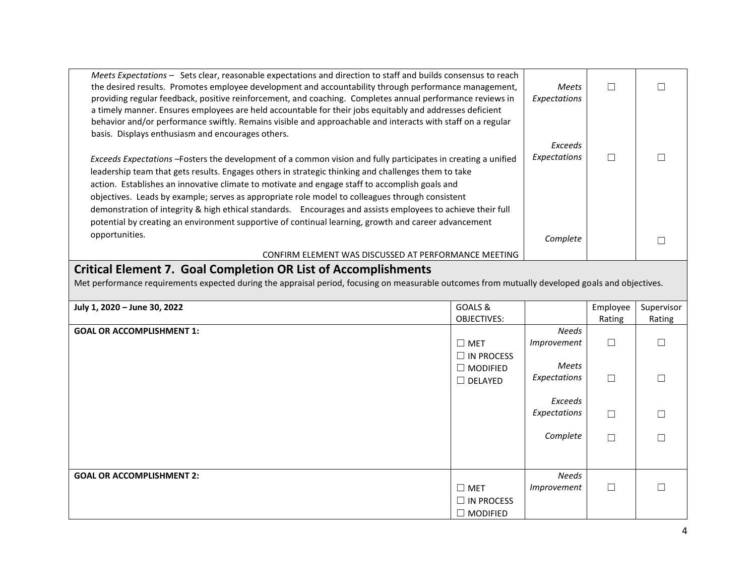| Meets Expectations – Sets clear, reasonable expectations and direction to staff and builds consensus to reach<br>the desired results. Promotes employee development and accountability through performance management,<br>providing regular feedback, positive reinforcement, and coaching. Completes annual performance reviews in<br>a timely manner. Ensures employees are held accountable for their jobs equitably and addresses deficient<br>behavior and/or performance swiftly. Remains visible and approachable and interacts with staff on a regular<br>basis. Displays enthusiasm and encourages others.                              | <b>Meets</b><br>Expectations |  |
|--------------------------------------------------------------------------------------------------------------------------------------------------------------------------------------------------------------------------------------------------------------------------------------------------------------------------------------------------------------------------------------------------------------------------------------------------------------------------------------------------------------------------------------------------------------------------------------------------------------------------------------------------|------------------------------|--|
|                                                                                                                                                                                                                                                                                                                                                                                                                                                                                                                                                                                                                                                  | Exceeds                      |  |
| Exceeds Expectations -Fosters the development of a common vision and fully participates in creating a unified<br>leadership team that gets results. Engages others in strategic thinking and challenges them to take<br>action. Establishes an innovative climate to motivate and engage staff to accomplish goals and<br>objectives. Leads by example; serves as appropriate role model to colleagues through consistent<br>demonstration of integrity & high ethical standards. Encourages and assists employees to achieve their full<br>potential by creating an environment supportive of continual learning, growth and career advancement | Expectations                 |  |
| opportunities.                                                                                                                                                                                                                                                                                                                                                                                                                                                                                                                                                                                                                                   | Complete                     |  |
| CONFIRM ELEMENT WAS DISCUSSED AT PERFORMANCE MEETING                                                                                                                                                                                                                                                                                                                                                                                                                                                                                                                                                                                             |                              |  |
|                                                                                                                                                                                                                                                                                                                                                                                                                                                                                                                                                                                                                                                  |                              |  |

## **Critical Element 7. Goal Completion OR List of Accomplishments**

Met performance requirements expected during the appraisal period, focusing on measurable outcomes from mutually developed goals and objectives.

| July 1, 2020 - June 30, 2022     | GOALS &                            |              | Employee | Supervisor |
|----------------------------------|------------------------------------|--------------|----------|------------|
|                                  | OBJECTIVES:                        |              | Rating   | Rating     |
| <b>GOAL OR ACCOMPLISHMENT 1:</b> |                                    | Needs        |          |            |
|                                  | $\square$ MET<br>$\Box$ IN PROCESS | Improvement  | $\Box$   |            |
|                                  | $\Box$ MODIFIED                    | Meets        |          |            |
|                                  | $\Box$ DELAYED                     | Expectations | $\Box$   |            |
|                                  |                                    | Exceeds      |          |            |
|                                  |                                    | Expectations | $\Box$   |            |
|                                  |                                    | Complete     | $\Box$   |            |
|                                  |                                    |              |          |            |
| <b>GOAL OR ACCOMPLISHMENT 2:</b> |                                    | <b>Needs</b> |          |            |
|                                  | $\square$ MET                      | Improvement  | $\Box$   |            |
|                                  | $\Box$ IN PROCESS                  |              |          |            |
|                                  | $\Box$ MODIFIED                    |              |          |            |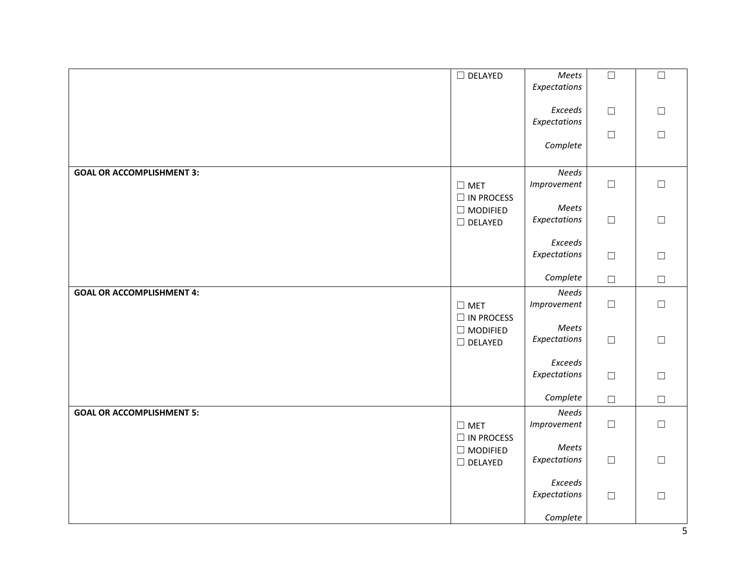|                                  | $\Box$ DELAYED                       | Meets<br>Expectations       | $\Box$ | $\Box$           |
|----------------------------------|--------------------------------------|-----------------------------|--------|------------------|
|                                  |                                      | Exceeds<br>Expectations     | $\Box$ | $\Box$           |
|                                  |                                      | Complete                    | $\Box$ | $\Box$           |
| <b>GOAL OR ACCOMPLISHMENT 3:</b> | $\square$ MET<br>$\Box$ IN PROCESS   | <b>Needs</b><br>Improvement | $\Box$ | $\Box$           |
|                                  | $\Box$ MODIFIED<br>$\square$ DELAYED | Meets<br>Expectations       | $\Box$ | $\Box$           |
|                                  |                                      | Exceeds<br>Expectations     | $\Box$ | $\Box$           |
|                                  |                                      | Complete                    | $\Box$ | $\Box$           |
| <b>GOAL OR ACCOMPLISHMENT 4:</b> | $\Box$ MET<br>$\Box$ IN PROCESS      | <b>Needs</b><br>Improvement | $\Box$ | $\Box$           |
|                                  | $\Box$ MODIFIED<br>$\Box$ DELAYED    | Meets<br>Expectations       | $\Box$ | $\Box$           |
|                                  |                                      | Exceeds<br>Expectations     | $\Box$ | $\Box$           |
|                                  |                                      | Complete                    | $\Box$ | $\Box$           |
| <b>GOAL OR ACCOMPLISHMENT 5:</b> | $\square$ MET<br>$\Box$ IN PROCESS   | <b>Needs</b><br>Improvement | $\Box$ | $\hfill \square$ |
|                                  | $\Box$ MODIFIED<br>$\Box$ DELAYED    | Meets<br>Expectations       | $\Box$ | $\Box$           |
|                                  |                                      | Exceeds<br>Expectations     | $\Box$ | $\Box$           |
|                                  |                                      | Complete                    |        |                  |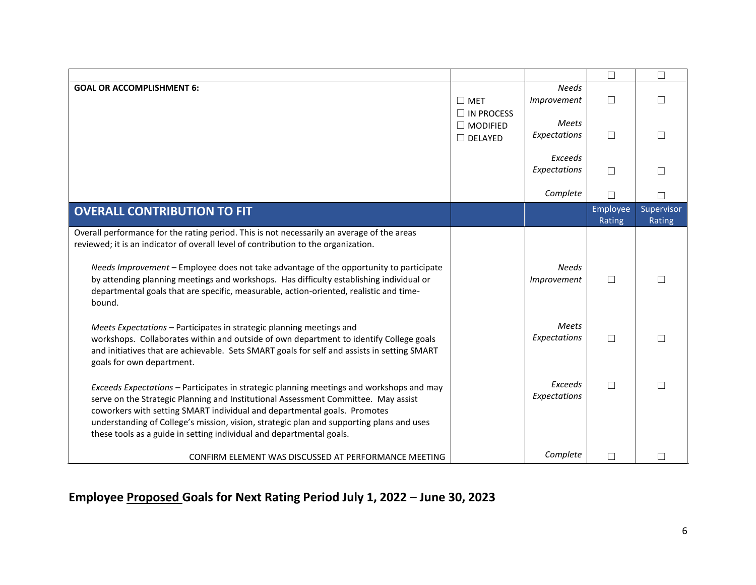|                                                                                                                                                                                                                                                                                                                                                                                                                                                                           |                                    |                              | $\Box$             | $\Box$               |
|---------------------------------------------------------------------------------------------------------------------------------------------------------------------------------------------------------------------------------------------------------------------------------------------------------------------------------------------------------------------------------------------------------------------------------------------------------------------------|------------------------------------|------------------------------|--------------------|----------------------|
| <b>GOAL OR ACCOMPLISHMENT 6:</b>                                                                                                                                                                                                                                                                                                                                                                                                                                          | $\square$ MET<br>$\Box$ IN PROCESS | <b>Needs</b><br>Improvement  | $\Box$             | $\Box$               |
|                                                                                                                                                                                                                                                                                                                                                                                                                                                                           | $\Box$ MODIFIED<br>$\Box$ DELAYED  | Meets<br>Expectations        | $\Box$             |                      |
|                                                                                                                                                                                                                                                                                                                                                                                                                                                                           |                                    | Exceeds<br>Expectations      | $\Box$             |                      |
|                                                                                                                                                                                                                                                                                                                                                                                                                                                                           |                                    | Complete                     | $\Box$             |                      |
| <b>OVERALL CONTRIBUTION TO FIT</b>                                                                                                                                                                                                                                                                                                                                                                                                                                        |                                    |                              | Employee<br>Rating | Supervisor<br>Rating |
| Overall performance for the rating period. This is not necessarily an average of the areas<br>reviewed; it is an indicator of overall level of contribution to the organization.<br>Needs Improvement - Employee does not take advantage of the opportunity to participate<br>by attending planning meetings and workshops. Has difficulty establishing individual or<br>departmental goals that are specific, measurable, action-oriented, realistic and time-<br>bound. |                                    | <b>Needs</b><br>Improvement  | $\Box$             | $\Box$               |
| Meets Expectations - Participates in strategic planning meetings and<br>workshops. Collaborates within and outside of own department to identify College goals<br>and initiatives that are achievable. Sets SMART goals for self and assists in setting SMART<br>goals for own department.                                                                                                                                                                                |                                    | <b>Meets</b><br>Expectations | $\Box$             | П                    |
| Exceeds Expectations - Participates in strategic planning meetings and workshops and may<br>serve on the Strategic Planning and Institutional Assessment Committee. May assist<br>coworkers with setting SMART individual and departmental goals. Promotes<br>understanding of College's mission, vision, strategic plan and supporting plans and uses<br>these tools as a guide in setting individual and departmental goals.                                            |                                    | Exceeds<br>Expectations      | $\Box$             |                      |
| CONFIRM ELEMENT WAS DISCUSSED AT PERFORMANCE MEETING                                                                                                                                                                                                                                                                                                                                                                                                                      |                                    | Complete                     | П                  |                      |

# **Employee Proposed Goals for Next Rating Period July 1, 2022 – June 30, 2023**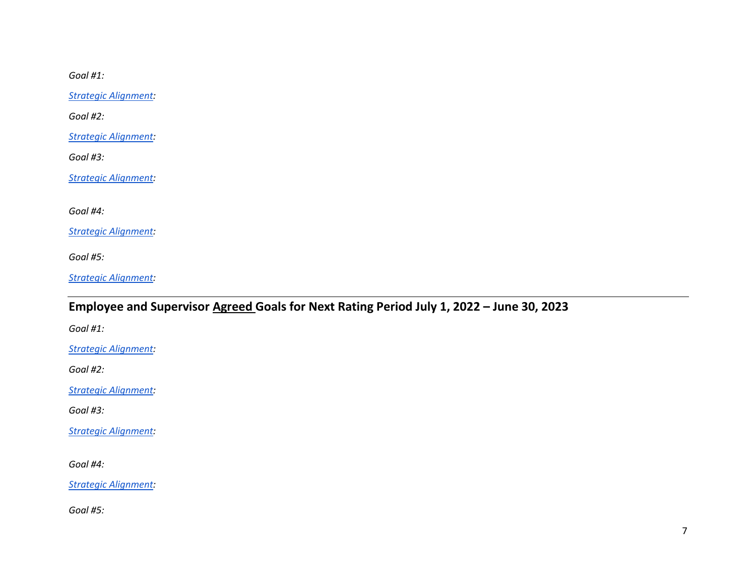*Goal #1:*

*[Strategic Alignment:](https://www.fitnyc.edu/about/initiatives/strategic-plan/2004-2011/plan-details/approved-plan.php)*

*Goal #2:*

*[Strategic Alignment:](https://www.fitnyc.edu/about/initiatives/strategic-plan/2004-2011/plan-details/approved-plan.php)*

*Goal #3:*

*[Strategic Alignment:](https://www.fitnyc.edu/about/initiatives/strategic-plan/2004-2011/plan-details/approved-plan.php)*

*Goal #4:*

*[Strategic Alignment:](https://www.fitnyc.edu/about/initiatives/strategic-plan/2004-2011/plan-details/approved-plan.php)*

*Goal #5:*

*[Strategic Alignment:](https://www.fitnyc.edu/about/initiatives/strategic-plan/2004-2011/plan-details/approved-plan.php)*

## **Employee and Supervisor Agreed Goals for Next Rating Period July 1, 2022 – June 30, 2023**

*Goal #1:*

*[Strategic Alignment:](https://www.fitnyc.edu/about/initiatives/strategic-plan/2004-2011/plan-details/approved-plan.php)*

*Goal #2:*

*[Strategic Alignment:](https://www.fitnyc.edu/about/initiatives/strategic-plan/2004-2011/plan-details/approved-plan.php)*

*Goal #3:*

*[Strategic Alignment:](https://www.fitnyc.edu/about/initiatives/strategic-plan/2004-2011/plan-details/approved-plan.php)*

*Goal #4:*

*[Strategic Alignment:](https://www.fitnyc.edu/about/initiatives/strategic-plan/2004-2011/plan-details/approved-plan.php)*

*Goal #5:*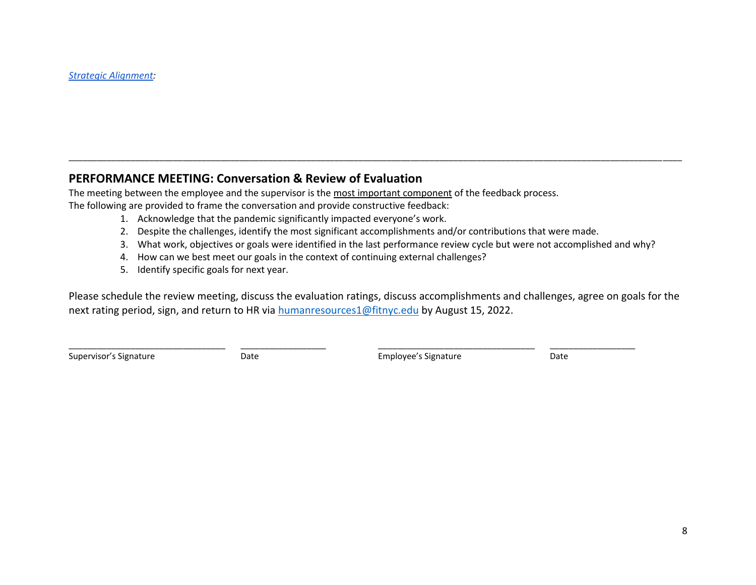### **PERFORMANCE MEETING: Conversation & Review of Evaluation**

The meeting between the employee and the supervisor is the most important component of the feedback process. The following are provided to frame the conversation and provide constructive feedback:

- 1. Acknowledge that the pandemic significantly impacted everyone's work.
- 2. Despite the challenges, identify the most significant accomplishments and/or contributions that were made.

\_\_\_\_\_\_\_\_\_\_\_\_\_\_\_\_\_\_\_\_\_\_\_\_\_\_\_\_\_\_\_\_\_ \_\_\_\_\_\_\_\_\_\_\_\_\_\_\_\_\_\_ \_\_\_\_\_\_\_\_\_\_\_\_\_\_\_\_\_\_\_\_\_\_\_\_\_\_\_\_\_\_\_\_\_ \_\_\_\_\_\_\_\_\_\_\_\_\_\_\_\_\_\_

- 3. What work, objectives or goals were identified in the last performance review cycle but were not accomplished and why?
- 4. How can we best meet our goals in the context of continuing external challenges?
- 5. Identify specific goals for next year.

Please schedule the review meeting, discuss the evaluation ratings, discuss accomplishments and challenges, agree on goals for the next rating period, sign, and return to HR via [humanresources1@fitnyc.edu](mailto:humanresources1@fitnyc.edu) by August 15, 2022.

\_\_\_\_\_\_\_\_\_\_\_\_\_\_\_\_\_\_\_\_\_\_\_\_\_\_\_\_\_\_\_\_\_\_\_\_\_\_\_\_\_\_\_\_\_\_\_\_\_\_\_\_\_\_\_\_\_\_\_\_\_\_\_\_\_\_\_\_\_\_\_\_\_\_\_\_\_\_\_\_\_\_\_\_\_\_\_\_\_\_\_\_\_\_\_\_\_\_\_\_\_\_\_\_\_\_\_\_\_\_\_\_\_\_\_\_\_\_\_\_\_\_\_\_\_\_\_\_\_

Supervisor's Signature Date Employee's Signature Date